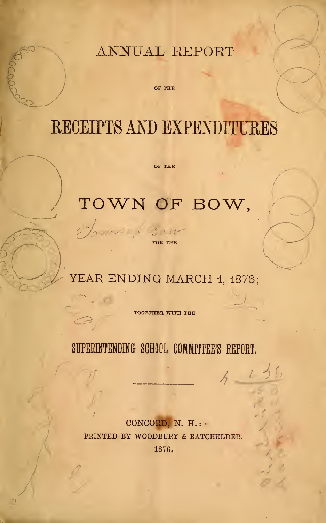# ANNUAL REPORT

OF THE

# RECEIPTS AND EXPENDITURES

OF THE

# TOWN OF BOW,

James, Ban

# YEAR ENDING MARCH 1, 1876;

 $\circ$ 

TOGETHER WITH THE

SUPERINTENDING SCHOOL COMMITTEE'S REPORT.

 $5<sub>1</sub>$ 

1

CONCORD, N. H.: printed by woodbury & batchelder. 1876.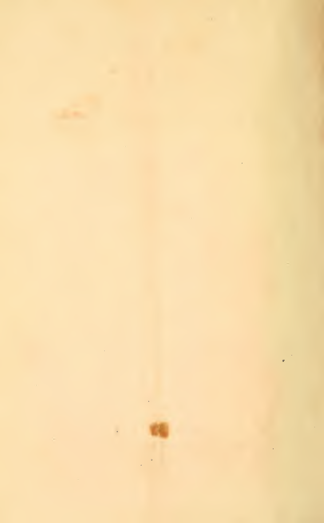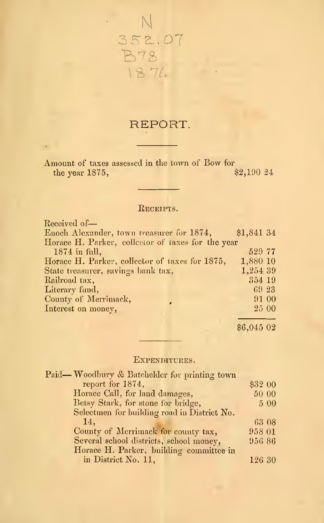## REPORT.

352.07

&7S  $1876$ 

Amount of taxes assessed in the town of Bow for<br>the year 1875.  $$2,190\,24$ the year  $1875$ ,

#### RECEIPTS.

Received of-Enoch Alexander, town treasurer for 1874, \$1,841 34 Horace H. Parker, collector of taxes for the year 1874 in full, 529 77 1874 in full,<br>Horace H. Parker, collector of taxes for 1875, 1,880 10 State treasurer, savings bank tax, 1,254 39 Railroad tax. 354 19 Literary fund, 69 23 County of Merrimack, 91 00 Interest on money, 25 00

\$6,045 02

#### EXPENDITURES.

| Paid—Woodbury & Batchelder for printing town |        |
|----------------------------------------------|--------|
| report for 1874,                             | \$3200 |
| Horace Call, for land damages,               | 50 00  |
| Betsy Stark, for stone for bridge,           | 5 00   |
| Selectmen for building road in District No.  |        |
| 14,                                          | 63 08  |
| County of Merrimack for county tax,          | 958 01 |
| Several school districts, school money,      | 956 86 |
| Horace H. Parker, building committee in      |        |
| in District No. 11,                          | 126 30 |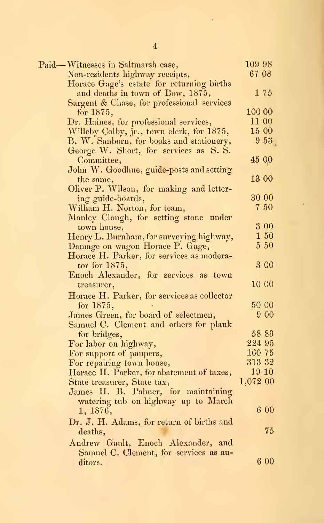| Paid—Witnesses in Saltmarsh case,           | 109 98   |
|---------------------------------------------|----------|
| Non-residents highway receipts,             | 67 08    |
| Horace Gage's estate for returning births   |          |
| and deaths in town of Bow, 1875,            | 175      |
| Sargent & Chase, for professional services  |          |
| for $1875$ ,                                | 10000    |
| Dr. Haines, for professional services,      | 11 00    |
| Willeby Colby, jr., town clerk, for 1875,   | 15 00    |
| B. W. Sanborn, for books and stationery,    | 953      |
| George W. Short, for services as S.S.       |          |
| Committee,                                  | 45 0,0   |
| John W. Goodhue, guide-posts and setting    |          |
| the same,                                   | 13 00    |
| Oliver P. Wilson, for making and letter-    |          |
| ing guide-boards,                           | $30\;00$ |
| William H. Norton, for team,                | 7 50     |
| Manley Clough, for setting stone under      |          |
| town house,                                 | 3 00     |
| Henry L. Burnham, for surveying highway,    | 1 50     |
| Damage on wagon Horace P. Gage,             | 5 50     |
| Horace H. Parker, for services as modera-   |          |
| tor for $1875$ ,                            | 3 00     |
| Enoch Alexander, for services as town       |          |
| treasurer,                                  | 10 00    |
| Horace H. Parker, for services as collector |          |
| for $1875$ ,                                | 50 00    |
| James Green, for board of selectmen,        | 900      |
| Samuel C. Clement and others for plank      |          |
| for bridges,                                | 58 83    |
| For labor on highway,                       | 224 95   |
| For support of paupers,                     | 160 75   |
| For repairing town house,                   | 313 32   |
| Horace H. Parker, for abatement of taxes,   | 19 10    |
| State treasurer, State tax,                 | 1,072 00 |
| James H. B. Palmer, for maintaining         |          |
| watering tub on highway up to March         |          |
| 1,1876,                                     | 6 00     |
| Dr. J. H. Adams, for return of births and   |          |
| deaths,                                     | 75       |
| Andrew Gault, Enoch Alexander, and          |          |
| Samuel C. Clement, for services as au-      |          |
| ditors.                                     | 6 00     |
|                                             |          |

 $\bar{\epsilon}$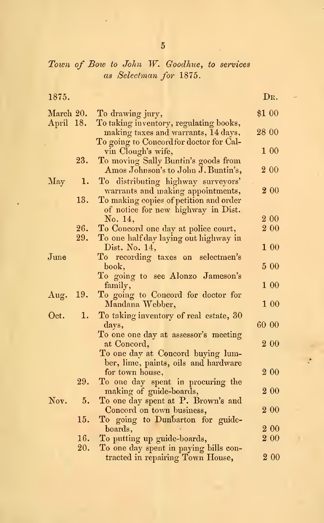| 1875.                 |     |                                                                               | $_{\rm{DR.}}$ |  |
|-----------------------|-----|-------------------------------------------------------------------------------|---------------|--|
| March 20.             |     | To drawing jury,                                                              | \$100         |  |
| April 18.             |     | To taking inventory, regulating books,<br>making taxes and warrants, 14 days, | 28 00         |  |
|                       |     | $\rm To$ going to Concord for doctor for Cal-<br>vin Clough's wife,           | 1 00          |  |
|                       | 23. | To moving Sally Buntin's goods from<br>Amos Johnson's to John J. Buntin's,    | $2\;00$       |  |
| $\rm{May}$            | 1.  | To distributing highway surveyors'                                            | 2 0 0         |  |
|                       | 13. | warrants and making appointments,<br>To making copies of petition and order   |               |  |
|                       |     | of notice for new highway in Dist.<br>No. 14,                                 | 2 00          |  |
|                       | 26. | To Concord one day at police court,                                           | 200           |  |
|                       | 29. | To one half day laying out highway in                                         |               |  |
|                       |     | Dist. No. 14,                                                                 | 100           |  |
| $\operatorname{June}$ |     | To recording taxes on selectmen's                                             |               |  |
|                       |     | book,                                                                         | 5 00          |  |
|                       |     | To going to see Alonzo Jameson's                                              |               |  |
|                       |     | family,                                                                       | 1 00          |  |
| Aug.                  | 19. | To going to Concord for doctor for                                            |               |  |
|                       |     | Mandana Webber,                                                               | 1 00          |  |
| Oct.                  | 1.  | To taking inventory of real estate, 30                                        |               |  |
|                       |     | days,                                                                         | 60 00         |  |
|                       |     | To one one day at assessor's meeting                                          |               |  |
|                       |     | at Concord,                                                                   | 2 00          |  |
|                       |     | To one day at Concord buying lum-                                             |               |  |
|                       |     | ber, lime, paints, oils and hardware                                          |               |  |
|                       |     | for town house,                                                               | 2 00          |  |
|                       | 29. | To one day spent in procuring the                                             |               |  |
|                       |     | making of guide-boards,                                                       | 200           |  |
| Nov.                  | 5.  | To one day spent at P. Brown's and                                            |               |  |
|                       |     | Concord on town business,                                                     | 2 00          |  |
|                       | 15. | To going to Dunbarton for guide-                                              |               |  |
|                       |     | boards,                                                                       | 2 00          |  |
|                       | 16. | To putting up guide-boards,                                                   | 2 00          |  |
|                       | 20. | To one day spent in paying bills con-                                         |               |  |
|                       |     | tracted in repairing Town House,                                              | 2 00          |  |
|                       |     |                                                                               |               |  |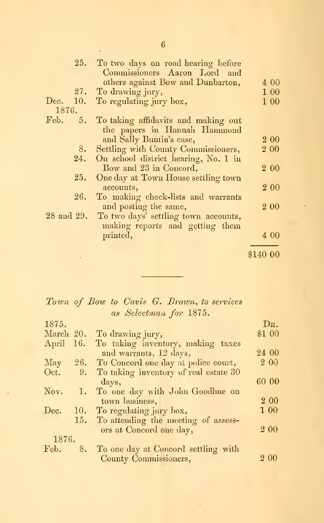| 25.        | To two days on road hearing before   |          |
|------------|--------------------------------------|----------|
|            | Commissioners Aaron Lord and         |          |
|            | others against Bow and Dunbarton,    | 4 0 0    |
|            | 27. To drawing jury,                 | 1 0 0    |
|            | Dec. 10. To regulating jury box,     | 1 00     |
| 1876.      |                                      |          |
| Feb.<br>5. | To taking affidavits and making out  |          |
|            | the papers in Hannah Hammond         |          |
|            | and Sally Buntin's case,             | 2 00     |
| 8.         | Settling with County Commissioners,  | 2 00     |
| 24.        | On school district hearing, No. 1 in |          |
|            | Bow and 23 in Concord,               | 2 00     |
| 25.        | One day at Town House settling town  |          |
|            | accounts,                            | $2\;00$  |
| 26.        | To making check-lists and warrants   |          |
|            | and posting the same,                | 2 0 0    |
| 28 and 29. | To two days' settling town accounts, |          |
|            | making reports and getting them      |          |
|            | printed,                             | 4 0 0    |
|            |                                      |          |
|            |                                      | \$140 00 |
|            |                                      |          |

### Town of Bow to Cavis G. Brown, to services as Selectman for 1875. 1875.

|    |                                  | $\mathrm{D}\mathrm{R}$ .                                                                                                                                                                                                                                                                                                                                 |
|----|----------------------------------|----------------------------------------------------------------------------------------------------------------------------------------------------------------------------------------------------------------------------------------------------------------------------------------------------------------------------------------------------------|
|    |                                  | \$1 00                                                                                                                                                                                                                                                                                                                                                   |
|    |                                  |                                                                                                                                                                                                                                                                                                                                                          |
|    |                                  | 24 00                                                                                                                                                                                                                                                                                                                                                    |
|    |                                  | 2 0 0                                                                                                                                                                                                                                                                                                                                                    |
|    |                                  |                                                                                                                                                                                                                                                                                                                                                          |
|    | days,                            | 60 00                                                                                                                                                                                                                                                                                                                                                    |
| 1. |                                  |                                                                                                                                                                                                                                                                                                                                                          |
|    | town business,                   | 2 00                                                                                                                                                                                                                                                                                                                                                     |
|    |                                  | 1 0 0                                                                                                                                                                                                                                                                                                                                                    |
|    |                                  |                                                                                                                                                                                                                                                                                                                                                          |
|    |                                  | 200                                                                                                                                                                                                                                                                                                                                                      |
|    |                                  |                                                                                                                                                                                                                                                                                                                                                          |
|    |                                  |                                                                                                                                                                                                                                                                                                                                                          |
|    | County Commissioners,            | 2 00                                                                                                                                                                                                                                                                                                                                                     |
|    | March 20.<br><b>16.</b><br>1876. | To drawing jury,<br>To taking inventory, making taxes<br>and warrants, 12 days,<br>26. To Concord one day at police court,<br>9. To taking inventory of real estate 30<br>To one day with John Goodhue on<br>10. To regulating jury box,<br>15. To attending the meeting of assess-<br>ors at Concord one day,<br>8. To one day at Concord settling with |

L.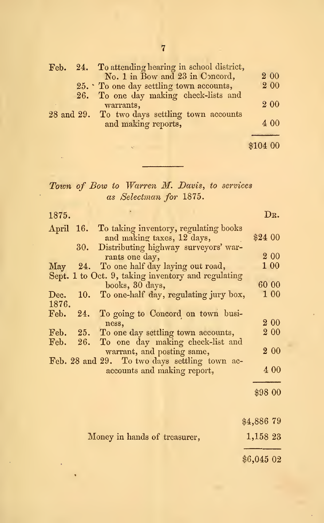| Feb.            | 24. To attending hearing in school district,  |         |
|-----------------|-----------------------------------------------|---------|
|                 | No. 1 in Bow and 23 in Concord,               | 2 0 0   |
|                 | 25. To one day settling town accounts,        | 2 0 0   |
|                 | 26. To one day making check-lists and         |         |
| $\sim$ $\alpha$ | warrants,                                     | 2 0 0   |
|                 | 28 and 29. To two days settling town accounts |         |
|                 | and making reports,                           | 4 0 0   |
|                 |                                               |         |
|                 | $\mathbf{K}^{\text{in}}$                      | \$10400 |
|                 |                                               |         |
|                 |                                               |         |
|                 |                                               |         |

## Town of Bow to Warren M. Davis, to services as Selectman for 1875.

| 1875.         |     |                              |                                                    |            | Dr.        |  |
|---------------|-----|------------------------------|----------------------------------------------------|------------|------------|--|
| April 16.     |     | and making taxes, 12 days,   | To taking inventory, regulating books              | \$24 00    |            |  |
|               | 30. | rants one day,               | Distributing highway surveyors' war-               |            | 2 0 0      |  |
|               |     |                              | May 24. To one half day laying out road,           |            | 1 0 0      |  |
|               |     | books, 30 days,              | Sept. 1 to Oct. 9, taking inventory and regulating |            | 6000       |  |
| Dec.<br>1876. |     |                              | 10. To one-half day, regulating jury box,          |            | <b>100</b> |  |
| ${\bf Feb.}$  | 24. | ness,                        | To going to Concord on town busi-                  |            | 2 00       |  |
|               |     |                              | Feb. 25. To one day settling town accounts,        |            | $2\;00$    |  |
|               |     | warrant, and posting same,   | Feb. 26. To one day making check-list and          |            | 2 00       |  |
|               |     | accounts and making report,  | Feb. 28 and 29. To two days settling town ac-      |            | 400        |  |
|               |     |                              |                                                    |            |            |  |
|               |     |                              |                                                    | \$98 00    |            |  |
|               |     |                              |                                                    | \$4,886 79 |            |  |
|               |     | Money in hands of treasurer, |                                                    | 1,158 23   |            |  |
|               |     |                              |                                                    |            |            |  |

 $\overline{7}$ 

\$6,045 02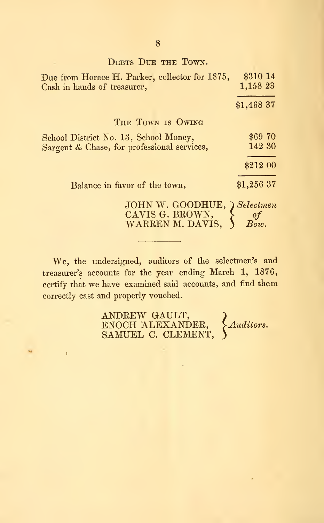### DEBTS DUE THE TOWN.

| Due from Horace H. Parker, collector for 1875,<br>Cash in hands of treasurer, | \$310 14<br>1,158 23 |  |
|-------------------------------------------------------------------------------|----------------------|--|
|                                                                               | \$1,468 37           |  |
| THE TOWN IS OWING                                                             |                      |  |
| School District No. 13, School Money,                                         | \$69,70              |  |
| Sargent & Chase, for professional services,                                   | 142 30               |  |
|                                                                               | \$21200              |  |
| Balance in favor of the town,                                                 | $$1,256$ 37          |  |
| JOHN W. GOODHUE, ) Selectmen                                                  |                      |  |
| CAVIS G. BROWN,                                                               |                      |  |
| WARREN M. DAVIS.                                                              | Bow.                 |  |

We, the undersigned, auditors of the selectmen's and treasurer's accounts for the year ending March 1, 1876, certify that we have examined said accounts, and find them correctly cast and properly vouched.

 $\sim$ 

| ANDREW GAULT,      |                 |
|--------------------|-----------------|
| ENOCH ALEXANDER,   | $\{Auditors.\}$ |
| SAMUEL C. CLEMENT, |                 |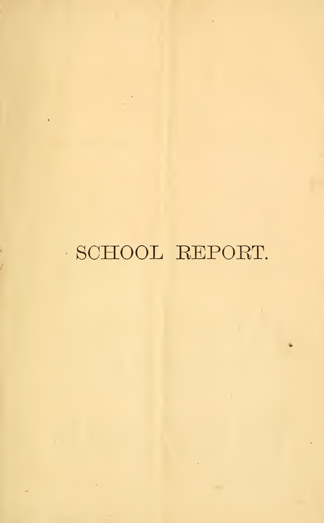# SCHOOL KEPOET.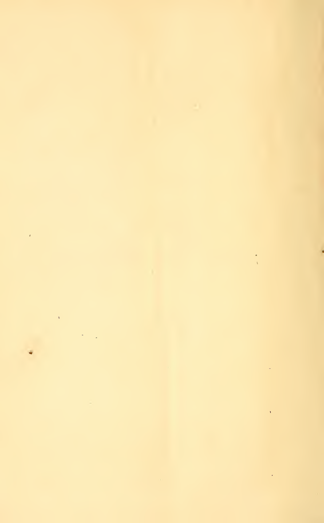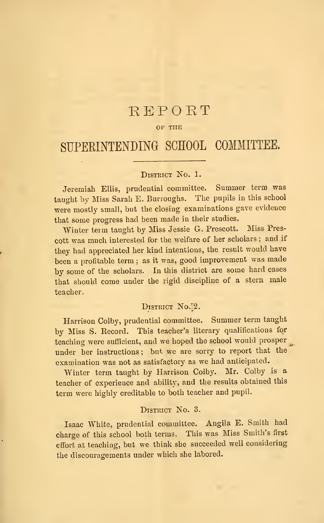## REPORT

#### OF THE

# SUPERINTENDING SCHOOL COMMITTEE.

#### District No. 1.

Jeremiah Ellis, prudential committee. Summer term was taught by Miss Sarah E. Burroughs. The pupils in this school were mostly small, but the closing examinations gave evidence that some progress had been made in their studies.

Winter term taught by Miss Jessie G. Prescott. Miss Prescott was much interested for the welfare of her scholars ; and if they had appreciated her kind intentions, the result would have been <sup>a</sup> profitable term ; as it was, good improvement was made by some of the scholars. In this district are some hard cases that should come under the rigid discipline of <sup>a</sup> stern male teacher.

#### DISTRICT No.52.

Harrison Colby, prudential committee. Summer term taught by Miss S. Record. This teacher's literary qualifications for teaching were sufficient, and we hoped the school would prosper under her instructions; but we are sorry to report that the examination was not as satisfactory as we had anticipated.

Winter term taught by Harrison Colby. Mr. Colby is a teacher of experience and ability, and the results obtained this term were highly creditable to both teacher and pupil.

#### DISTRICT No. 3.

Isaac White, prudential committee. Angila E. Smith had charge of this school both terms. This was Miss Smith's first effort at teaching, but we think she succeeded well considering the discouragements under which she labored.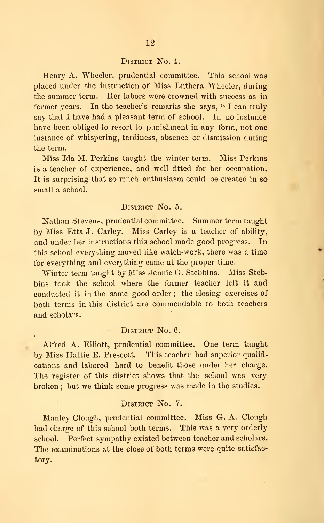#### DISTRICT No. 4.

Henry A. Wheeler, prudential committee. This school was placed under the instruction of Miss Lr.thera Wheeler, during the summer term. Her labors were crowned with success as in former years. In the teacher's remarks she says, "I can truly say that I have had a pleasant term of school. In no instance have been obliged to resort to punishment in any form, not one instance of whispering, tardiness, absence or dismission during the term.

Miss Ida M. Perkins taught the winter term. Miss Perkins is a teacher of experience, and well fitted for her occupation. It is surprising that so much enthusiasm could be created in so small a school.

#### District No. 5.

Nathan Stevens, prudential committee. Summer term taught by Miss Etta J. Carley. Miss Carley is a teacher of ability, and under her instructions this school made good progress. In this school everything moved like watch-work, there was a time for everything and everything came at the proper time.

Winter term taught by Miss Jennie G. Stebbins. Miss Stebbins took the school where the former teacher left it and conducted it in the same good order ; the closing exercises of both terms in this district are commendable to both teachers and scholars.

#### DISTRICT No. 6.

Alfred A. Elliott, prudential committee. One term taught by Miss Hattie E. Prescott. This teacher had superior qualifications and labored hard to benefit those under her charge. The register of this district shows that the school was very broken ; but we think some progress was made in the studies.

#### District No. 7.

Manley Clough, prudential committee. Miss G. A. Clough had charge of this school both terms. This was a very orderly school. Perfect sympathy existed between teacher and scholars. The examinations at the close of both terms were quite satisfac tory.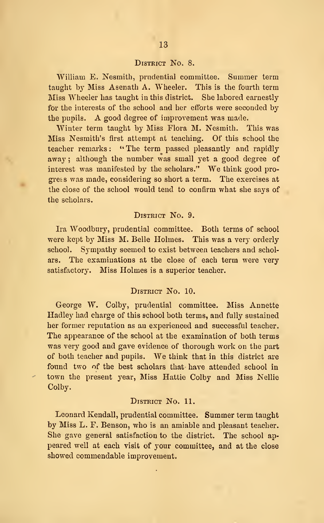#### District No. 8.

William E. Nesmith, prudential committee. Summer term taught by Miss Asenath A. Wheeler. This is the fourth term Miss Wheeler has taught in this district. She labored earnestly for the interests of the school and her efforts were seconded by the pupils. A good degree of improvement was made.

Winter term taught by Miss Flora M. Nesmith. This was Miss Nesmith's first attempt at teaching. Of this school the teacher remarks: "The term passed pleasantly and rapidly away; although the number was small yet a good degree of interest was manifested by the scholars." We think good pro gress was made, considering so short a term. The exercises at the close of the school would tend to confirm what she says of the scholars.

#### District No. 9.

Ira Woodbury, prudential committee. Both terms of school were kept by Miss M. Belle Holmes. This was a very orderly school. Sympathy seemed to exist between teachers and scholars. The examinations at the close of each term were very satisfactory. Miss Holmes is a superior teacher.

#### DISTRICT No. 10.

George W. Colby, prudential committee. Miss Annette Hadley had charge of this school both terms, and fully sustained her former reputation as an experienced and successful teacher. The appearance of the school at the examination of both terms was very good and gave evidence of thorough work on the part of both teacher and pupils. We think that in this district are found two of the best scholars that have attended school in town the present year. Miss Hattie Colby and Miss Nellie Colby.

#### District No. 11.

Leonard Kendall, prudential committee. Summer term taught by Miss L. F. Benson, who is an amiable and pleasant teacher. She gave general satisfaction to the district. The school ap peared well at each visit of your committee, and at the close showed commendable improvement.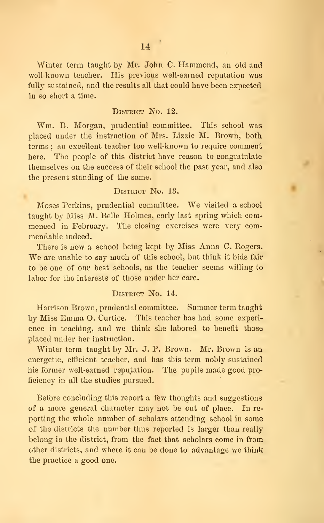Winter term taught by Mr. John C. Hammond, an old and well-known teacher. His previous well-earned reputation was fully sustained, and the results all that could have been expected in so short a time.

#### DISTRICT No. 12.

Wm. B. Morgan, prudential committee. This school was placed under the instruction of Mrs. Lizzie M. Brown, both terms ; an excellent teacher too well-known to require comment here. The people of this district have reason to congratulate themselves on the success of their school the past year, and also the present standing of the same.

#### District No. 13.

Moses Perkins, prudential committee. We visited <sup>a</sup> school taught by Miss M. Belle Holmes, early last spring which com menced in February. The closing exercises were very com mendable indeed.

There is now a school being kept by Miss Anna C. Rogers. We are unable to say much of this school, but think it bids fair to be one of our best schools, as the teacher seems willing to labor for the interests of those under her care.

#### DISTRICT No. 14.

Harrison Brown, prudential committee. Summer term taught by Miss Emma O. Curtice. This teacher has had some experi ence in teaching, and we think she labored to benefit those placed under her instruction.

Winter term taught by Mr. J. P. Brown. Mr. Brown is an energetic, efficient teacher, aud has this term nobly sustained his former well-earned reputation. The pupils made good proficiency in all the studies pursued.

Before concluding this report a few thoughts and suggestions of a more general character may not be out of place. In re porting the whole number of scholars attending school in some of the districts the number thus reported is larger than really belong in the district, from the fact that scholars come in from other districts, and where it can be done to advantage we think the practice a good one.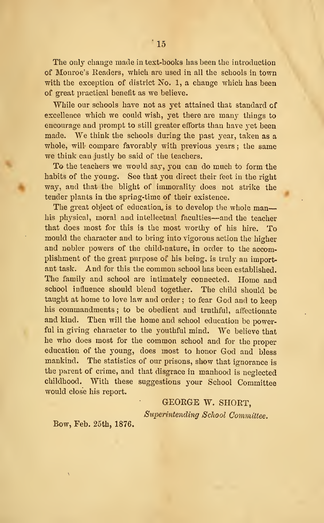The only change made in text-books has been the introduction of Monroe's Readers, which are used in all the schools in town with the exception of district No. 1, a change which has been of great practical benefit as we believe.

While our schools have not as yet attained that standard of excellence which we could wish, yet there are many things to encourage and prompt to still greater efforts than have yet been made. We think the schools during the past year, taken as <sup>a</sup> whole, will compare favorably with previous years; the same we think can justly be said of the teachers.

To the teachers we would say, you can do much to form the habits of the young. See that you direct their feet in the right way, and that the blight of immorality does not strike the tender plants in the spring-time of their existence.

The great object of education is to develop the whole man his physical, moral and intellectual faculties—and the teacher that does most for this is the most worthy of his hire. To mould the character and to bring into vigorous action the higher and nobler powers of the child-nature, in order to the accomplishment of the great purpose of his being, is truly an import ant task. And for this the common school has been established. The family and school are intimately connected. Home and school influence should blend together. The child should be taught at home to love law and order; to fear God and to keep his commandments ; to be obedient and truthful, affectionate and kind. Then will the home and school education be powerful in giving character to the youthful mind. We believe that he who does most for the common school and for the proper education of the young, does most to honor God and bless mankind. The statistics of our prisons, show that ignorance is the parent of crime, and that disgrace in manhood is neglected childhood. With these suggestions your School Committee would close his report.

#### GEORGE W. SHORT.

Superintending School Committee.

Bow, Feb. 25th, 1876.